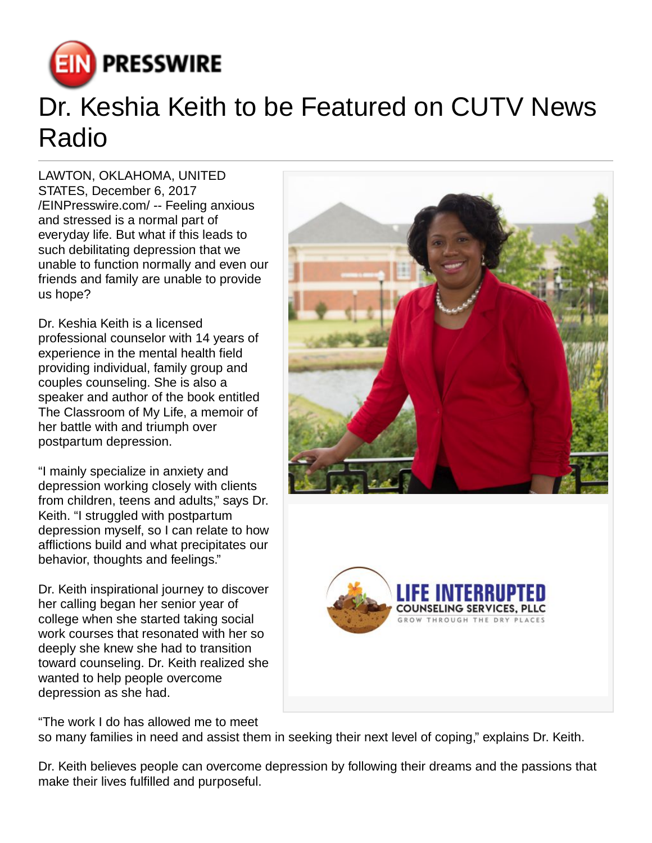

## Dr. Keshia Keith to be Featured on CUTV News Radio

LAWTON, OKLAHOMA, UNITED STATES, December 6, 2017 [/EINPresswire.com](http://www.einpresswire.com)/ -- Feeling anxious and stressed is a normal part of everyday life. But what if this leads to such debilitating depression that we unable to function normally and even our friends and family are unable to provide us hope?

Dr. Keshia Keith is a licensed professional counselor with 14 years of experience in the mental health field providing individual, family group and couples counseling. She is also a speaker and author of the book entitled The Classroom of My Life, a memoir of her battle with and triumph over postpartum depression.

"I mainly specialize in anxiety and depression working closely with clients from children, teens and adults," says Dr. Keith. "I struggled with postpartum depression myself, so I can relate to how afflictions build and what precipitates our behavior, thoughts and feelings."

Dr. Keith inspirational journey to discover her calling began her senior year of college when she started taking social work courses that resonated with her so deeply she knew she had to transition toward counseling. Dr. Keith realized she wanted to help people overcome depression as she had.

"The work I do has allowed me to meet





so many families in need and assist them in seeking their next level of coping," explains Dr. Keith.

Dr. Keith believes people can overcome depression by following their dreams and the passions that make their lives fulfilled and purposeful.